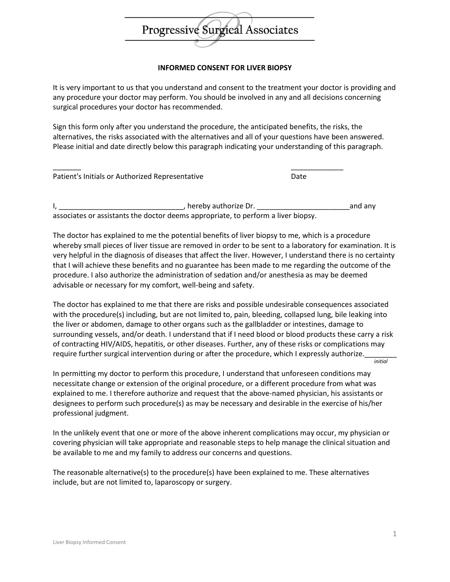

## **INFORMED CONSENT FOR LIVER BIOPSY**

It is very important to us that you understand and consent to the treatment your doctor is providing and any procedure your doctor may perform. You should be involved in any and all decisions concerning surgical procedures your doctor has recommended.

Sign this form only after you understand the procedure, the anticipated benefits, the risks, the alternatives, the risks associated with the alternatives and all of your questions have been answered. Please initial and date directly below this paragraph indicating your understanding of this paragraph.

Patient's Initials or Authorized Representative Date

I, \_\_\_\_\_\_\_\_\_\_\_\_\_\_\_\_\_\_\_\_\_\_\_\_\_\_\_\_\_\_\_, hereby authorize Dr. \_\_\_\_\_\_\_\_\_\_\_\_\_\_\_\_\_\_\_\_\_\_\_and any associates or assistants the doctor deems appropriate, to perform a liver biopsy.

\_\_\_\_\_\_\_ \_\_\_\_\_\_\_\_\_\_\_\_\_

The doctor has explained to me the potential benefits of liver biopsy to me, which is a procedure whereby small pieces of liver tissue are removed in order to be sent to a laboratory for examination. It is very helpful in the diagnosis of diseases that affect the liver. However, I understand there is no certainty that I will achieve these benefits and no guarantee has been made to me regarding the outcome of the procedure. I also authorize the administration of sedation and/or anesthesia as may be deemed advisable or necessary for my comfort, well-being and safety.

The doctor has explained to me that there are risks and possible undesirable consequences associated with the procedure(s) including, but are not limited to, pain, bleeding, collapsed lung, bile leaking into the liver or abdomen, damage to other organs such as the gallbladder or intestines, damage to surrounding vessels, and/or death. I understand that if I need blood or blood products these carry a risk of contracting HIV/AIDS, hepatitis, or other diseases. Further, any of these risks or complications may require further surgical intervention during or after the procedure, which I expressly authorize. *initial*

In permitting my doctor to perform this procedure, I understand that unforeseen conditions may necessitate change or extension of the original procedure, or a different procedure from what was explained to me. I therefore authorize and request that the above-named physician, his assistants or designees to perform such procedure(s) as may be necessary and desirable in the exercise of his/her professional judgment.

In the unlikely event that one or more of the above inherent complications may occur, my physician or covering physician will take appropriate and reasonable steps to help manage the clinical situation and be available to me and my family to address our concerns and questions.

The reasonable alternative(s) to the procedure(s) have been explained to me. These alternatives include, but are not limited to, laparoscopy or surgery.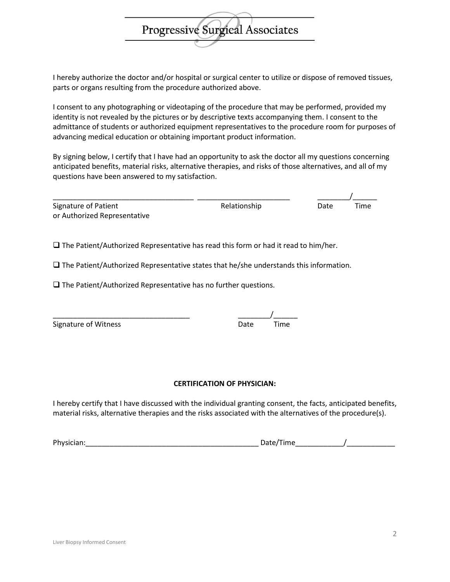I hereby authorize the doctor and/or hospital or surgical center to utilize or dispose of removed tissues, parts or organs resulting from the procedure authorized above.

Progressive Surgical Associates

I consent to any photographing or videotaping of the procedure that may be performed, provided my identity is not revealed by the pictures or by descriptive texts accompanying them. I consent to the admittance of students or authorized equipment representatives to the procedure room for purposes of advancing medical education or obtaining important product information.

By signing below, I certify that I have had an opportunity to ask the doctor all my questions concerning anticipated benefits, material risks, alternative therapies, and risks of those alternatives, and all of my questions have been answered to my satisfaction.

| Signature of Patient         |  |  |
|------------------------------|--|--|
| or Authorized Representative |  |  |

\_\_\_\_\_\_\_\_\_\_\_\_\_\_\_\_\_\_\_\_\_\_\_\_\_\_\_\_\_\_\_\_\_\_\_ \_\_\_\_\_\_\_\_\_\_\_\_\_\_\_\_\_\_\_\_\_\_\_ \_\_\_\_\_\_\_\_/\_\_\_\_\_\_ Relationship Date Time

 $\square$  The Patient/Authorized Representative has read this form or had it read to him/her.

 $\square$  The Patient/Authorized Representative states that he/she understands this information.

 $\Box$  The Patient/Authorized Representative has no further questions.

\_\_\_\_\_\_\_\_\_\_\_\_\_\_\_\_\_\_\_\_\_\_\_\_\_\_\_\_\_\_\_\_\_\_ \_\_\_\_\_\_\_\_/\_\_\_\_\_\_

| Signature of Witness | Date | Time |
|----------------------|------|------|
|                      |      |      |

## **CERTIFICATION OF PHYSICIAN:**

I hereby certify that I have discussed with the individual granting consent, the facts, anticipated benefits, material risks, alternative therapies and the risks associated with the alternatives of the procedure(s).

Physician:\_\_\_\_\_\_\_\_\_\_\_\_\_\_\_\_\_\_\_\_\_\_\_\_\_\_\_\_\_\_\_\_\_\_\_\_\_\_\_\_\_\_\_ Date/Time\_\_\_\_\_\_\_\_\_\_\_\_/\_\_\_\_\_\_\_\_\_\_\_\_